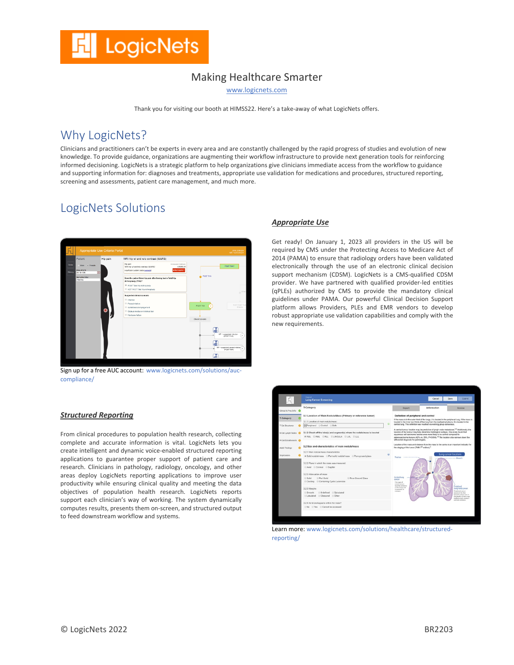## Making Healthcare Smarter

www.logicnets.com

Thank you for visiting our booth at HIMSS22. Here's a take-away of what LogicNets offers.

## Why LogicNets?

Clinicians and practitioners can't be experts in every area and are constantly challenged by the rapid progress of studies and evolution of new knowledge. To provide guidance, organizations are augmenting their workflow infrastructure to provide next generation tools for reinforcing informed decisioning. LogicNets is a strategic platform to help organizations give clinicians immediate access from the workflow to guidance and supporting information for: diagnoses and treatments, appropriate use validation for medications and procedures, structured reporting, screening and assessments, patient care management, and much more.

## LogicNets Solutions



Sign up for a free AUC account: www.logicnets.com/solutions/auccompliance/

#### *Structured Reporting*

From clinical procedures to population health research, collecting complete and accurate information is vital. LogicNets lets you create intelligent and dynamic voice-enabled structured reporting applications to guarantee proper support of patient care and research. Clinicians in pathology, radiology, oncology, and other areas deploy LogicNets reporting applications to improve user productivity while ensuring clinical quality and meeting the data objectives of population health research. LogicNets reports support each clinician's way of working. The system dynamically computes results, presents them on-screen, and structured output to feed downstream workflow and systems.

#### *Appropriate Use*

Get ready! On January 1, 2023 all providers in the US will be required by CMS under the Protecting Access to Medicare Act of 2014 (PAMA) to ensure that radiology orders have been validated electronically through the use of an electronic clinical decision support mechanism (CDSM). LogicNets is a CMS-qualified CDSM provider. We have partnered with qualified provider-led entities (qPLEs) authorized by CMS to provide the mandatory clinical guidelines under PAMA. Our powerful Clinical Decision Support platform allows Providers, PLEs and EMR vendors to develop robust appropriate use validation capabilities and comply with the new requirements.



Learn more: www.logicnets.com/solutions/healthcare/structuredreporting/